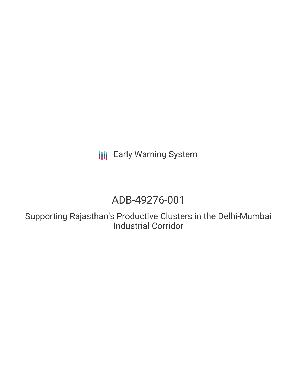**III** Early Warning System

# ADB-49276-001

Supporting Rajasthan's Productive Clusters in the Delhi-Mumbai Industrial Corridor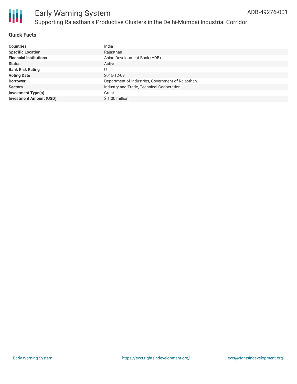

### **Quick Facts**

| <b>Countries</b>               | India                                             |
|--------------------------------|---------------------------------------------------|
| <b>Specific Location</b>       | Rajasthan                                         |
| <b>Financial Institutions</b>  | Asian Development Bank (ADB)                      |
| <b>Status</b>                  | Active                                            |
| <b>Bank Risk Rating</b>        |                                                   |
| <b>Voting Date</b>             | 2015-12-09                                        |
| <b>Borrower</b>                | Department of Industries, Government of Rajasthan |
| <b>Sectors</b>                 | Industry and Trade, Technical Cooperation         |
| <b>Investment Type(s)</b>      | Grant                                             |
| <b>Investment Amount (USD)</b> | $$1.00$ million                                   |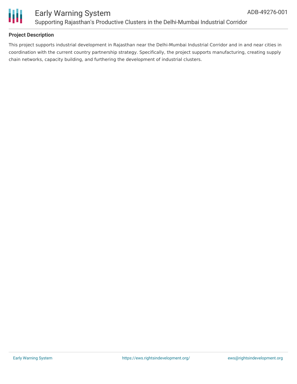

### **Project Description**

This project supports industrial development in Rajasthan near the Delhi-Mumbai Industrial Corridor and in and near cities in coordination with the current country partnership strategy. Specifically, the project supports manufacturing, creating supply chain networks, capacity building, and furthering the development of industrial clusters.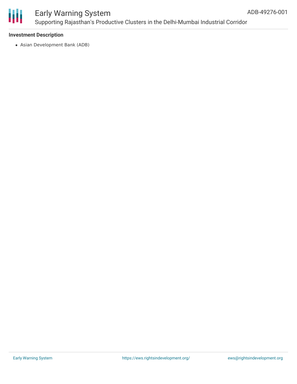

# Early Warning System Supporting Rajasthan's Productive Clusters in the Delhi-Mumbai Industrial Corridor

### **Investment Description**

Asian Development Bank (ADB)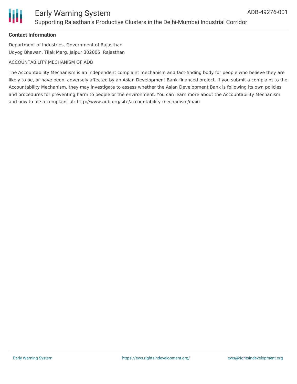

### Early Warning System Supporting Rajasthan's Productive Clusters in the Delhi-Mumbai Industrial Corridor

### **Contact Information**

Department of Industries, Government of Rajasthan Udyog Bhawan, Tilak Marg, Jaipur 302005, Rajasthan

#### ACCOUNTABILITY MECHANISM OF ADB

The Accountability Mechanism is an independent complaint mechanism and fact-finding body for people who believe they are likely to be, or have been, adversely affected by an Asian Development Bank-financed project. If you submit a complaint to the Accountability Mechanism, they may investigate to assess whether the Asian Development Bank is following its own policies and procedures for preventing harm to people or the environment. You can learn more about the Accountability Mechanism and how to file a complaint at: http://www.adb.org/site/accountability-mechanism/main